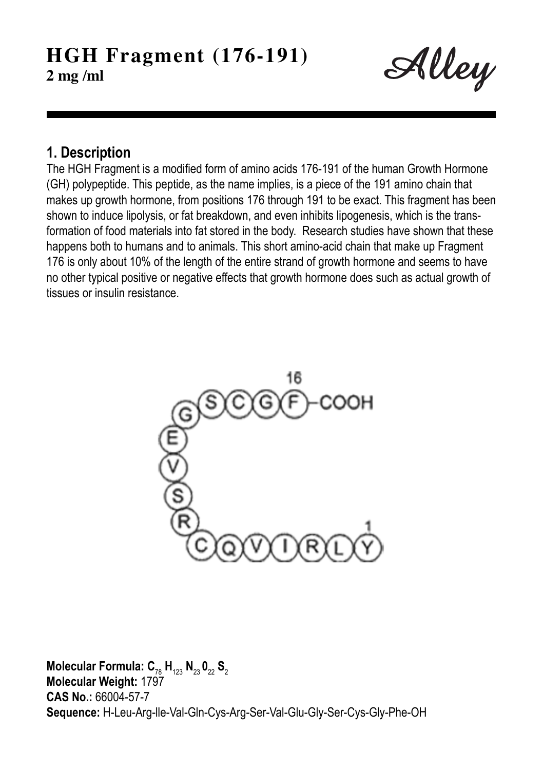Alley

### **1. Description**

The HGH Fragment is a modified form of amino acids 176-191 of the human Growth Hormone (GH) polypeptide. This peptide, as the name implies, is a piece of the 191 amino chain that makes up growth hormone, from positions 176 through 191 to be exact. This fragment has been shown to induce lipolysis, or fat breakdown, and even inhibits lipogenesis, which is the transformation of food materials into fat stored in the body. Research studies have shown that these happens both to humans and to animals. This short amino-acid chain that make up Fragment 176 is only about 10% of the length of the entire strand of growth hormone and seems to have no other typical positive or negative effects that growth hormone does such as actual growth of tissues or insulin resistance.



 $M$ olecular Formula:  $C_{78}$  H<sub>123</sub> N<sub>23</sub> O<sub>22</sub> S<sub>2</sub> **Molecular Weight:** 1797 **CAS No.:** 66004-57-7 **Sequence:** H-Leu-Arg-lle-Val-Gln-Cys-Arg-Ser-Val-Glu-Gly-Ser-Cys-Gly-Phe-OH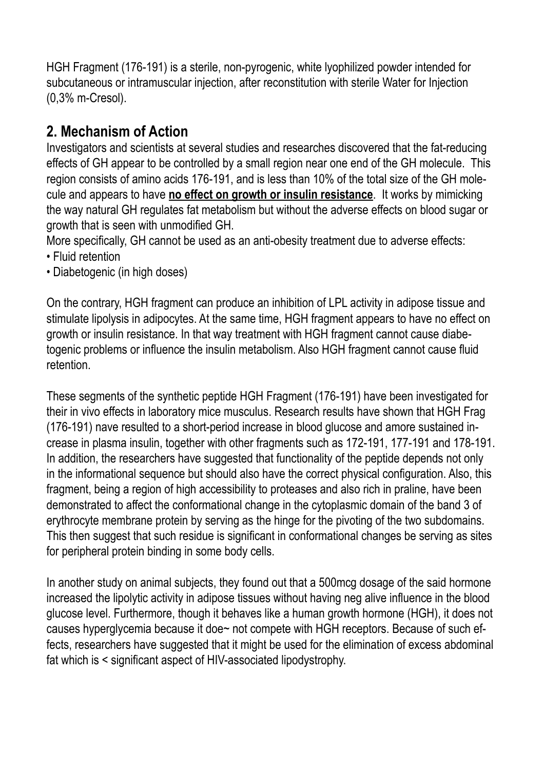HGH Fragment (176-191) is a sterile, non-pyrogenic, white lyophilized powder intended for subcutaneous or intramuscular injection, after reconstitution with sterile Water for Injection (0,3% m-Cresol).

# **2. Mechanism of Action**

Investigators and scientists at several studies and researches discovered that the fat-reducing effects of GH appear to be controlled by a small region near one end of the GH molecule. This region consists of amino acids 176-191, and is less than 10% of the total size of the GH molecule and appears to have **no effect on growth or insulin resistance**. It works by mimicking the way natural GH regulates fat metabolism but without the adverse effects on blood sugar or growth that is seen with unmodified GH.

More specifically, GH cannot be used as an anti-obesity treatment due to adverse effects:

- Fluid retention
- Diabetogenic (in high doses)

On the contrary, HGH fragment can produce an inhibition of LPL activity in adipose tissue and stimulate lipolysis in adipocytes. At the same time, HGH fragment appears to have no effect on growth or insulin resistance. In that way treatment with HGH fragment cannot cause diabetogenic problems or influence the insulin metabolism. Also HGH fragment cannot cause fluid retention.

These segments of the synthetic peptide HGH Fragment (176-191) have been investigated for their in vivo effects in laboratory mice musculus. Research results have shown that HGH Frag (176-191) nave resulted to a short-period increase in blood glucose and amore sustained increase in plasma insulin, together with other fragments such as 172-191, 177-191 and 178-191. In addition, the researchers have suggested that functionality of the peptide depends not only in the informational sequence but should also have the correct physical configuration. Also, this fragment, being a region of high accessibility to proteases and also rich in praline, have been demonstrated to affect the conformational change in the cytoplasmic domain of the band 3 of erythrocyte membrane protein by serving as the hinge for the pivoting of the two subdomains. This then suggest that such residue is significant in conformational changes be serving as sites for peripheral protein binding in some body cells.

In another study on animal subjects, they found out that a 500mcg dosage of the said hormone increased the lipolytic activity in adipose tissues without having neg alive influence in the blood glucose level. Furthermore, though it behaves like a human growth hormone (HGH), it does not causes hyperglycemia because it doe~ not compete with HGH receptors. Because of such effects, researchers have suggested that it might be used for the elimination of excess abdominal fat which is < significant aspect of HIV-associated lipodystrophy.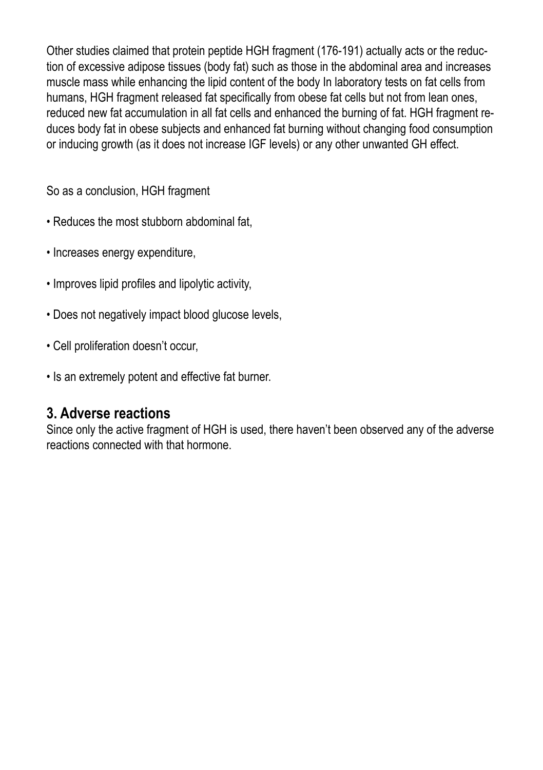Other studies claimed that protein peptide HGH fragment (176-191) actually acts or the reduction of excessive adipose tissues (body fat) such as those in the abdominal area and increases muscle mass while enhancing the lipid content of the body In laboratory tests on fat cells from humans, HGH fragment released fat specifically from obese fat cells but not from lean ones, reduced new fat accumulation in all fat cells and enhanced the burning of fat. HGH fragment reduces body fat in obese subjects and enhanced fat burning without changing food consumption or inducing growth (as it does not increase IGF levels) or any other unwanted GH effect.

So as a conclusion, HGH fragment

- Reduces the most stubborn abdominal fat,
- Increases energy expenditure,
- Improves lipid profiles and lipolytic activity,
- Does not negatively impact blood glucose levels,
- Cell proliferation doesn't occur,
- Is an extremely potent and effective fat burner.

### **3. Adverse reactions**

Since only the active fragment of HGH is used, there haven't been observed any of the adverse reactions connected with that hormone.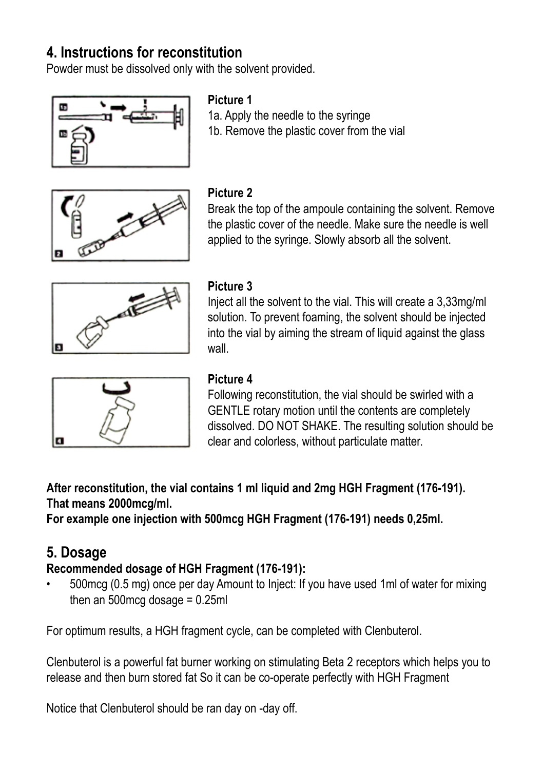# **4. Instructions for reconstitution**

Powder must be dissolved only with the solvent provided.



#### **Picture 1**

1a. Apply the needle to the syringe 1b. Remove the plastic cover from the vial



#### **Picture 2**

Break the top of the ampoule containing the solvent. Remove the plastic cover of the needle. Make sure the needle is well applied to the syringe. Slowly absorb all the solvent.



### **Picture 3**

Inject all the solvent to the vial. This will create a 3,33mg/ml solution. To prevent foaming, the solvent should be injected into the vial by aiming the stream of liquid against the glass wall



### **Picture 4**

Following reconstitution, the vial should be swirled with a GENTLE rotary motion until the contents are completely dissolved. DO NOT SHAKE. The resulting solution should be clear and colorless, without particulate matter.

**After reconstitution, the vial contains 1 ml liquid and 2mg HGH Fragment (176-191). That means 2000mcg/ml.** 

**For example one injection with 500mcg HGH Fragment (176-191) needs 0,25ml.**

# **5. Dosage**

### **Recommended dosage of HGH Fragment (176-191):**

• 500mcg (0.5 mg) once per day Amount to Inject: If you have used 1ml of water for mixing then an  $500$ mcg dosage =  $0.25$ ml

For optimum results, a HGH fragment cycle, can be completed with Clenbuterol.

Clenbuterol is a powerful fat burner working on stimulating Beta 2 receptors which helps you to release and then burn stored fat So it can be co-operate perfectly with HGH Fragment

Notice that Clenbuterol should be ran day on -day off.